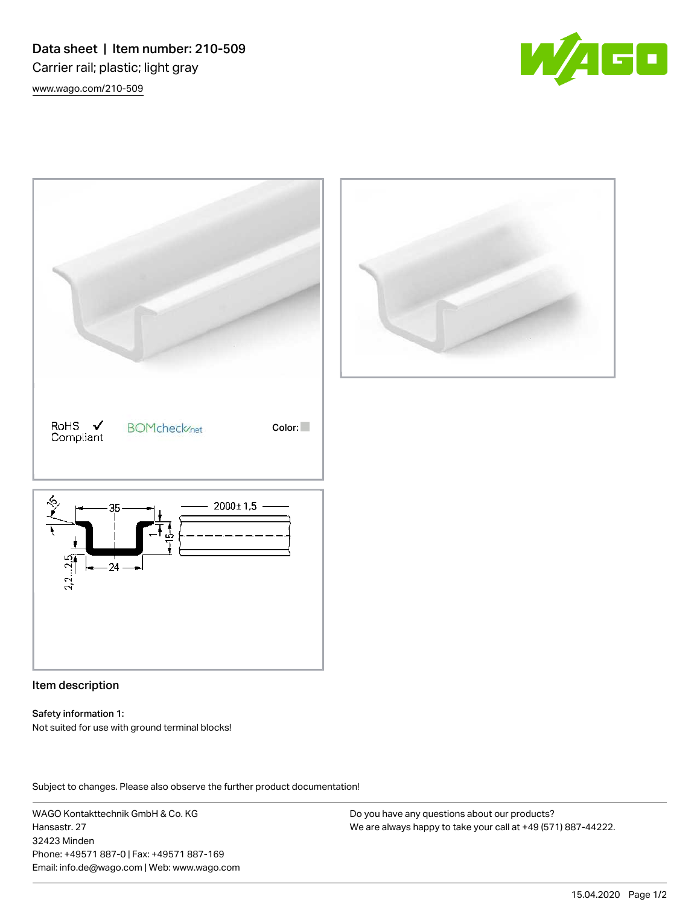Data sheet | Item number: 210-509 Carrier rail; plastic; light gray [www.wago.com/210-509](http://www.wago.com/210-509)





# Item description

#### Safety information 1:

Not suited for use with ground terminal blocks!

Subject to changes. Please also observe the further product documentation! Data

WAGO Kontakttechnik GmbH & Co. KG Hansastr. 27 32423 Minden Phone: +49571 887-0 | Fax: +49571 887-169 Email: info.de@wago.com | Web: www.wago.com

Do you have any questions about our products? We are always happy to take your call at +49 (571) 887-44222.